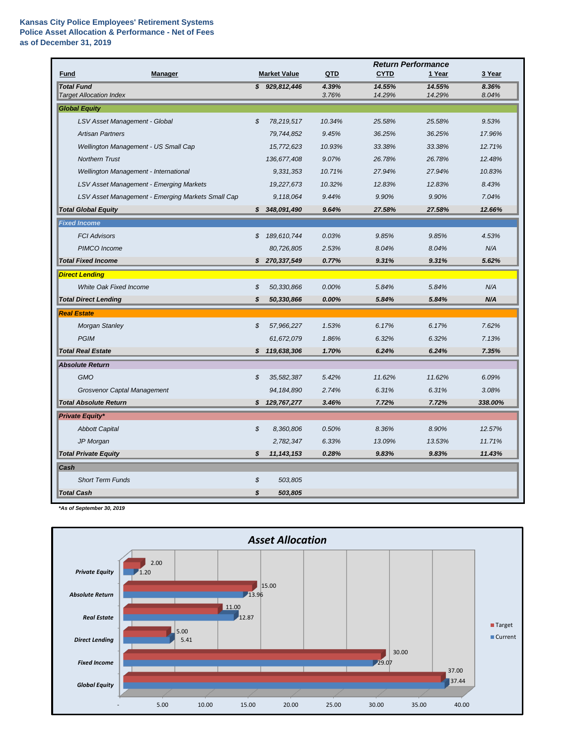|                                                     |                            |                     |                | <b>Return Performance</b> |                  |                |
|-----------------------------------------------------|----------------------------|---------------------|----------------|---------------------------|------------------|----------------|
| <b>Manager</b><br><b>Fund</b>                       |                            | <b>Market Value</b> | QTD            | <b>CYTD</b>               | 1 Year           | 3 Year         |
| <b>Total Fund</b><br><b>Target Allocation Index</b> |                            | \$929,812,446       | 4.39%<br>3.76% | 14.55%<br>14.29%          | 14.55%<br>14.29% | 8.36%<br>8.04% |
| <b>Global Equity</b>                                |                            |                     |                |                           |                  |                |
| LSV Asset Management - Global                       | $\boldsymbol{\mathcal{S}}$ | 78,219,517          | 10.34%         | 25.58%                    | 25.58%           | 9.53%          |
| <b>Artisan Partners</b>                             |                            | 79,744,852          | 9.45%          | 36.25%                    | 36.25%           | 17.96%         |
| Wellington Management - US Small Cap                |                            | 15,772,623          | 10.93%         | 33.38%                    | 33.38%           | 12.71%         |
| <b>Northern Trust</b>                               |                            | 136,677,408         | 9.07%          | 26.78%                    | 26.78%           | 12.48%         |
| Wellington Management - International               |                            | 9,331,353           | 10.71%         | 27.94%                    | 27.94%           | 10.83%         |
| LSV Asset Management - Emerging Markets             |                            | 19,227,673          | 10.32%         | 12.83%                    | 12.83%           | 8.43%          |
| LSV Asset Management - Emerging Markets Small Cap   |                            | 9,118,064           | 9.44%          | 9.90%                     | 9.90%            | 7.04%          |
| <b>Total Global Equity</b>                          | S.                         | 348,091,490         | 9.64%          | 27.58%                    | 27.58%           | 12.66%         |
| <b>Fixed Income</b>                                 |                            |                     |                |                           |                  |                |
| <b>FCI Advisors</b>                                 | \$                         | 189,610,744         | 0.03%          | 9.85%                     | 9.85%            | 4.53%          |
| PIMCO Income                                        |                            | 80,726,805          | 2.53%          | 8.04%                     | 8.04%            | N/A            |
| <b>Total Fixed Income</b>                           | S.                         | 270,337,549         | 0.77%          | 9.31%                     | 9.31%            | 5.62%          |
| <b>Direct Lending</b>                               |                            |                     |                |                           |                  |                |
| <b>White Oak Fixed Income</b>                       | \$                         | 50,330,866          | 0.00%          | 5.84%                     | 5.84%            | N/A            |
| <b>Total Direct Lending</b>                         | \$                         | 50,330,866          | 0.00%          | 5.84%                     | 5.84%            | N/A            |
| <b>Real Estate</b>                                  |                            |                     |                |                           |                  |                |
| <b>Morgan Stanley</b>                               | \$                         | 57,966,227          | 1.53%          | 6.17%                     | 6.17%            | 7.62%          |
| <b>PGIM</b>                                         |                            | 61,672,079          | 1.86%          | 6.32%                     | 6.32%            | 7.13%          |
| <b>Total Real Estate</b>                            | \$.                        | 119,638,306         | 1.70%          | 6.24%                     | 6.24%            | 7.35%          |
| <b>Absolute Return</b>                              |                            |                     |                |                           |                  |                |
| <b>GMO</b>                                          | \$                         | 35,582,387          | 5.42%          | 11.62%                    | 11.62%           | 6.09%          |
| <b>Grosvenor Captal Management</b>                  |                            | 94, 184, 890        | 2.74%          | 6.31%                     | 6.31%            | 3.08%          |
| <b>Total Absolute Return</b>                        | \$                         | 129,767,277         | 3.46%          | 7.72%                     | 7.72%            | 338.00%        |
| <b>Private Equity*</b>                              |                            |                     |                |                           |                  |                |
| <b>Abbott Capital</b>                               | \$                         | 8,360,806           | 0.50%          | 8.36%                     | 8.90%            | 12.57%         |
| JP Morgan                                           |                            | 2,782,347           | 6.33%          | 13.09%                    | 13.53%           | 11.71%         |
| <b>Total Private Equity</b>                         | \$                         | 11, 143, 153        | 0.28%          | 9.83%                     | 9.83%            | 11.43%         |
| <b>Cash</b>                                         |                            |                     |                |                           |                  |                |
| <b>Short Term Funds</b>                             | \$                         | 503,805             |                |                           |                  |                |
| <b>Total Cash</b>                                   | \$                         | 503,805             |                |                           |                  |                |

*\*As of September 30, 2019*